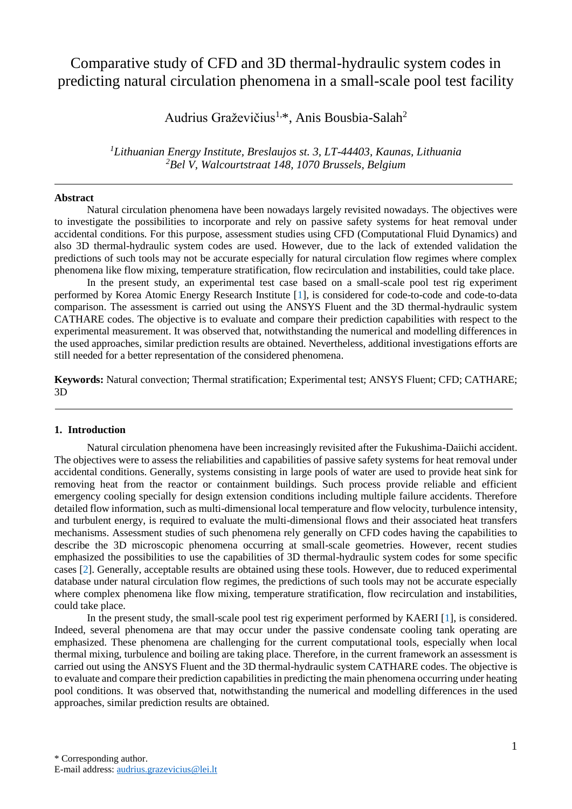# Comparative study of CFD and 3D thermal-hydraulic system codes in predicting natural circulation phenomena in a small-scale pool test facility

Audrius Graževičius<sup>1,\*</sup>, Anis Bousbia-Salah<sup>2</sup>

*<sup>1</sup>Lithuanian Energy Institute, Breslaujos st. 3, LT-44403, Kaunas, Lithuania <sup>2</sup>Bel V, Walcourtstraat 148, 1070 Brussels, Belgium*

# **Abstract**

Natural circulation phenomena have been nowadays largely revisited nowadays. The objectives were to investigate the possibilities to incorporate and rely on passive safety systems for heat removal under accidental conditions. For this purpose, assessment studies using CFD (Computational Fluid Dynamics) and also 3D thermal-hydraulic system codes are used. However, due to the lack of extended validation the predictions of such tools may not be accurate especially for natural circulation flow regimes where complex phenomena like flow mixing, temperature stratification, flow recirculation and instabilities, could take place.

In the present study, an experimental test case based on a small-scale pool test rig experiment performed by Korea Atomic Energy Research Institute [\[1\]](#page-5-0), is considered for code-to-code and code-to-data comparison. The assessment is carried out using the ANSYS Fluent and the 3D thermal-hydraulic system CATHARE codes. The objective is to evaluate and compare their prediction capabilities with respect to the experimental measurement. It was observed that, notwithstanding the numerical and modelling differences in the used approaches, similar prediction results are obtained. Nevertheless, additional investigations efforts are still needed for a better representation of the considered phenomena.

**Keywords:** Natural convection; Thermal stratification; Experimental test; ANSYS Fluent; CFD; CATHARE; 3D

#### **1. Introduction**

Natural circulation phenomena have been increasingly revisited after the Fukushima-Daiichi accident. The objectives were to assess the reliabilities and capabilities of passive safety systems for heat removal under accidental conditions. Generally, systems consisting in large pools of water are used to provide heat sink for removing heat from the reactor or containment buildings. Such process provide reliable and efficient emergency cooling specially for design extension conditions including multiple failure accidents. Therefore detailed flow information, such as multi-dimensional local temperature and flow velocity, turbulence intensity, and turbulent energy, is required to evaluate the multi-dimensional flows and their associated heat transfers mechanisms. Assessment studies of such phenomena rely generally on CFD codes having the capabilities to describe the 3D microscopic phenomena occurring at small-scale geometries. However, recent studies emphasized the possibilities to use the capabilities of 3D thermal-hydraulic system codes for some specific cases [\[2\]](#page-5-1). Generally, acceptable results are obtained using these tools. However, due to reduced experimental database under natural circulation flow regimes, the predictions of such tools may not be accurate especially where complex phenomena like flow mixing, temperature stratification, flow recirculation and instabilities, could take place.

In the present study, the small-scale pool test rig experiment performed by KAERI [\[1\]](#page-5-0), is considered. Indeed, several phenomena are that may occur under the passive condensate cooling tank operating are emphasized. These phenomena are challenging for the current computational tools, especially when local thermal mixing, turbulence and boiling are taking place. Therefore, in the current framework an assessment is carried out using the ANSYS Fluent and the 3D thermal-hydraulic system CATHARE codes. The objective is to evaluate and compare their prediction capabilities in predicting the main phenomena occurring under heating pool conditions. It was observed that, notwithstanding the numerical and modelling differences in the used approaches, similar prediction results are obtained.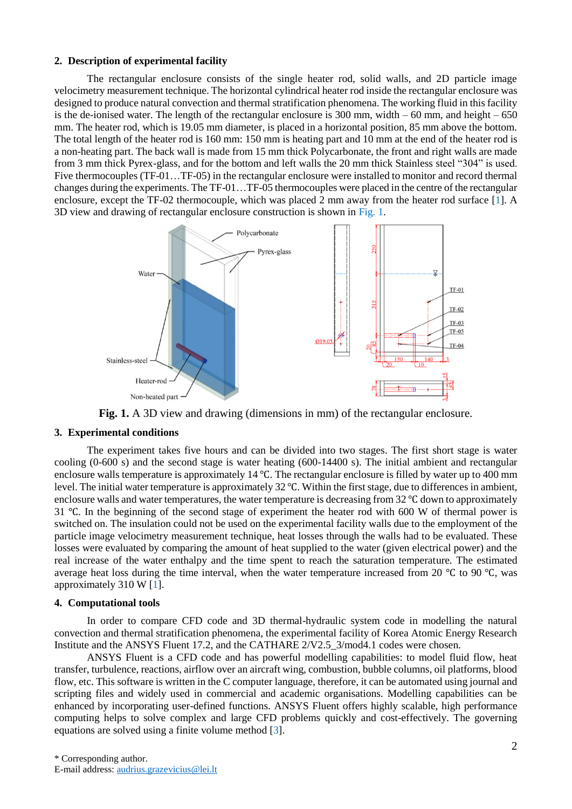# **2. Description of experimental facility**

The rectangular enclosure consists of the single heater rod, solid walls, and 2D particle image velocimetry measurement technique. The horizontal cylindrical heater rod inside the rectangular enclosure was designed to produce natural convection and thermal stratification phenomena. The working fluid in this facility is the de-ionised water. The length of the rectangular enclosure is  $300$  mm, width  $-60$  mm, and height  $-650$ mm. The heater rod, which is 19.05 mm diameter, is placed in a horizontal position, 85 mm above the bottom. The total length of the heater rod is 160 mm: 150 mm is heating part and 10 mm at the end of the heater rod is a non-heating part. The back wall is made from 15 mm thick Polycarbonate, the front and right walls are made from 3 mm thick Pyrex-glass, and for the bottom and left walls the 20 mm thick Stainless steel "304" is used. Five thermocouples (TF-01…TF-05) in the rectangular enclosure were installed to monitor and record thermal changes during the experiments. The TF-01…TF-05 thermocouples were placed in the centre of the rectangular enclosure, except the TF-02 thermocouple, which was placed 2 mm away from the heater rod surface [\[1\]](#page-5-0). A 3D view and drawing of rectangular enclosure construction is shown in [Fig. 1.](#page-1-0)



**Fig. 1.** A 3D view and drawing (dimensions in mm) of the rectangular enclosure.

## <span id="page-1-0"></span>**3. Experimental conditions**

The experiment takes five hours and can be divided into two stages. The first short stage is water cooling (0-600 s) and the second stage is water heating (600-14400 s). The initial ambient and rectangular enclosure walls temperature is approximately 14 ℃. The rectangular enclosure is filled by water up to 400 mm level. The initial water temperature is approximately 32 ℃. Within the first stage, due to differences in ambient, enclosure walls and water temperatures, the water temperature is decreasing from 32 ℃ down to approximately 31 ℃. In the beginning of the second stage of experiment the heater rod with 600 W of thermal power is switched on. The insulation could not be used on the experimental facility walls due to the employment of the particle image velocimetry measurement technique, heat losses through the walls had to be evaluated. These losses were evaluated by comparing the amount of heat supplied to the water (given electrical power) and the real increase of the water enthalpy and the time spent to reach the saturation temperature. The estimated average heat loss during the time interval, when the water temperature increased from 20 ℃ to 90 ℃, was approximately 310 W [\[1\]](#page-5-0).

#### **4. Computational tools**

In order to compare CFD code and 3D thermal-hydraulic system code in modelling the natural convection and thermal stratification phenomena, the experimental facility of Korea Atomic Energy Research Institute and the ANSYS Fluent 17.2, and the CATHARE 2/V2.5\_3/mod4.1 codes were chosen.

ANSYS Fluent is a CFD code and has powerful modelling capabilities: to model fluid flow, heat transfer, turbulence, reactions, airflow over an aircraft wing, combustion, bubble columns, oil platforms, blood flow, etc. This software is written in the C computer language, therefore, it can be automated using journal and scripting files and widely used in commercial and academic organisations. Modelling capabilities can be enhanced by incorporating user-defined functions. ANSYS Fluent offers highly scalable, high performance computing helps to solve complex and large CFD problems quickly and cost-effectively. The governing equations are solved using a finite volume method [\[3\]](#page-5-2).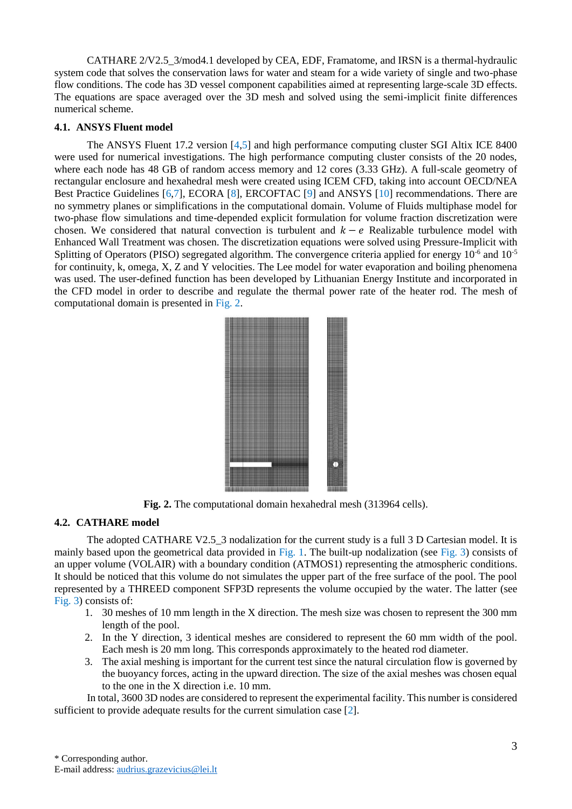CATHARE 2/V2.5\_3/mod4.1 developed by CEA, EDF, Framatome, and IRSN is a thermal-hydraulic system code that solves the conservation laws for water and steam for a wide variety of single and two-phase flow conditions. The code has 3D vessel component capabilities aimed at representing large-scale 3D effects. The equations are space averaged over the 3D mesh and solved using the semi-implicit finite differences numerical scheme.

## **4.1. ANSYS Fluent model**

The ANSYS Fluent 17.2 version [\[4,](#page-5-3)[5\]](#page-5-4) and high performance computing cluster SGI Altix ICE 8400 were used for numerical investigations. The high performance computing cluster consists of the 20 nodes, where each node has 48 GB of random access memory and 12 cores (3.33 GHz). A full-scale geometry of rectangular enclosure and hexahedral mesh were created using ICEM CFD, taking into account OECD/NEA Best Practice Guidelines [\[6](#page-5-5)[,7\]](#page-5-6), ECORA [\[8\]](#page-5-7), ERCOFTAC [\[9\]](#page-5-8) and ANSYS [\[10\]](#page-5-9) recommendations. There are no symmetry planes or simplifications in the computational domain. Volume of Fluids multiphase model for two-phase flow simulations and time-depended explicit formulation for volume fraction discretization were chosen. We considered that natural convection is turbulent and  $k - e$  Realizable turbulence model with Enhanced Wall Treatment was chosen. The discretization equations were solved using Pressure-Implicit with Splitting of Operators (PISO) segregated algorithm. The convergence criteria applied for energy  $10^{-6}$  and  $10^{-5}$ for continuity, k, omega, X, Z and Y velocities. The Lee model for water evaporation and boiling phenomena was used. The user-defined function has been developed by Lithuanian Energy Institute and incorporated in the CFD model in order to describe and regulate the thermal power rate of the heater rod. The mesh of computational domain is presented in [Fig. 2.](#page-2-0)



**Fig. 2.** The computational domain hexahedral mesh (313964 cells).

# <span id="page-2-0"></span>**4.2. CATHARE model**

The adopted CATHARE V2.5\_3 nodalization for the current study is a full 3 D Cartesian model. It is mainly based upon the geometrical data provided in [Fig. 1.](#page-1-0) The built-up nodalization (see [Fig. 3\)](#page-3-0) consists of an upper volume (VOLAIR) with a boundary condition (ATMOS1) representing the atmospheric conditions. It should be noticed that this volume do not simulates the upper part of the free surface of the pool. The pool represented by a THREED component SFP3D represents the volume occupied by the water. The latter (see [Fig. 3\)](#page-3-0) consists of:

- 1. 30 meshes of 10 mm length in the X direction. The mesh size was chosen to represent the 300 mm length of the pool.
- 2. In the Y direction, 3 identical meshes are considered to represent the 60 mm width of the pool. Each mesh is 20 mm long. This corresponds approximately to the heated rod diameter.
- 3. The axial meshing is important for the current test since the natural circulation flow is governed by the buoyancy forces, acting in the upward direction. The size of the axial meshes was chosen equal to the one in the X direction i.e. 10 mm.

In total, 3600 3D nodes are considered to represent the experimental facility. This number is considered sufficient to provide adequate results for the current simulation case [\[2\]](#page-5-1).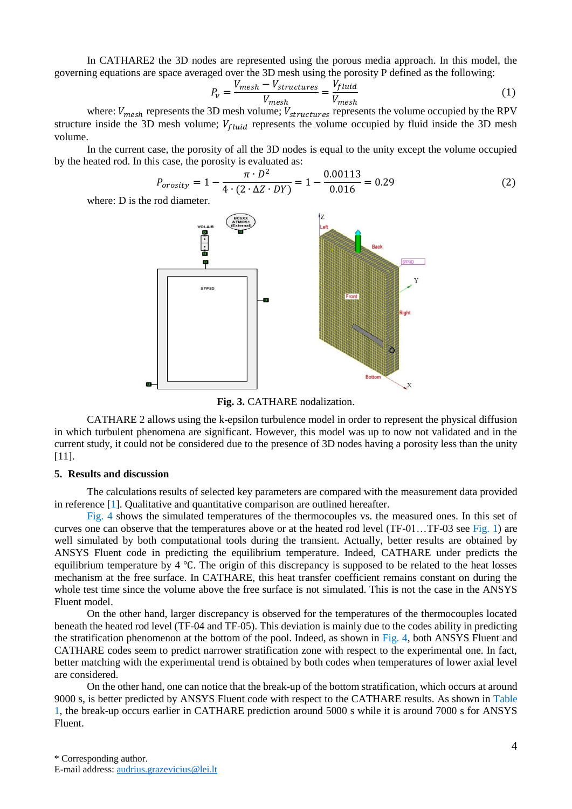In CATHARE2 the 3D nodes are represented using the porous media approach. In this model, the governing equations are space averaged over the 3D mesh using the porosity P defined as the following:

$$
P_v = \frac{V_{mesh} - V_{structures}}{V_{mesh}} = \frac{V_{fluid}}{V_{mesh}} \tag{1}
$$

where:  $V_{mesh}$  represents the 3D mesh volume;  $V_{structures}$  represents the volume occupied by the RPV structure inside the 3D mesh volume;  $V_{fluid}$  represents the volume occupied by fluid inside the 3D mesh volume.

In the current case, the porosity of all the 3D nodes is equal to the unity except the volume occupied by the heated rod. In this case, the porosity is evaluated as:

$$
P_{orosity} = 1 - \frac{\pi \cdot D^2}{4 \cdot (2 \cdot \Delta Z \cdot DY)} = 1 - \frac{0.00113}{0.016} = 0.29
$$
 (2)

where: D is the rod diameter.



**Fig. 3.** CATHARE nodalization.

<span id="page-3-0"></span>CATHARE 2 allows using the k-epsilon turbulence model in order to represent the physical diffusion in which turbulent phenomena are significant. However, this model was up to now not validated and in the current study, it could not be considered due to the presence of 3D nodes having a porosity less than the unity [\[11\]](#page-5-10).

## **5. Results and discussion**

The calculations results of selected key parameters are compared with the measurement data provided in reference [\[1\]](#page-5-0). Qualitative and quantitative comparison are outlined hereafter.

[Fig. 4](#page-4-0) shows the simulated temperatures of the thermocouples vs. the measured ones. In this set of curves one can observe that the temperatures above or at the heated rod level (TF-01…TF-03 see [Fig. 1\)](#page-1-0) are well simulated by both computational tools during the transient. Actually, better results are obtained by ANSYS Fluent code in predicting the equilibrium temperature. Indeed, CATHARE under predicts the equilibrium temperature by 4 ℃. The origin of this discrepancy is supposed to be related to the heat losses mechanism at the free surface. In CATHARE, this heat transfer coefficient remains constant on during the whole test time since the volume above the free surface is not simulated. This is not the case in the ANSYS Fluent model.

On the other hand, larger discrepancy is observed for the temperatures of the thermocouples located beneath the heated rod level (TF-04 and TF-05). This deviation is mainly due to the codes ability in predicting the stratification phenomenon at the bottom of the pool. Indeed, as shown in [Fig. 4,](#page-4-0) both ANSYS Fluent and CATHARE codes seem to predict narrower stratification zone with respect to the experimental one. In fact, better matching with the experimental trend is obtained by both codes when temperatures of lower axial level are considered.

On the other hand, one can notice that the break-up of the bottom stratification, which occurs at around 9000 s, is better predicted by ANSYS Fluent code with respect to the CATHARE results. As shown in [Table](#page-4-1)  [1,](#page-4-1) the break-up occurs earlier in CATHARE prediction around 5000 s while it is around 7000 s for ANSYS Fluent.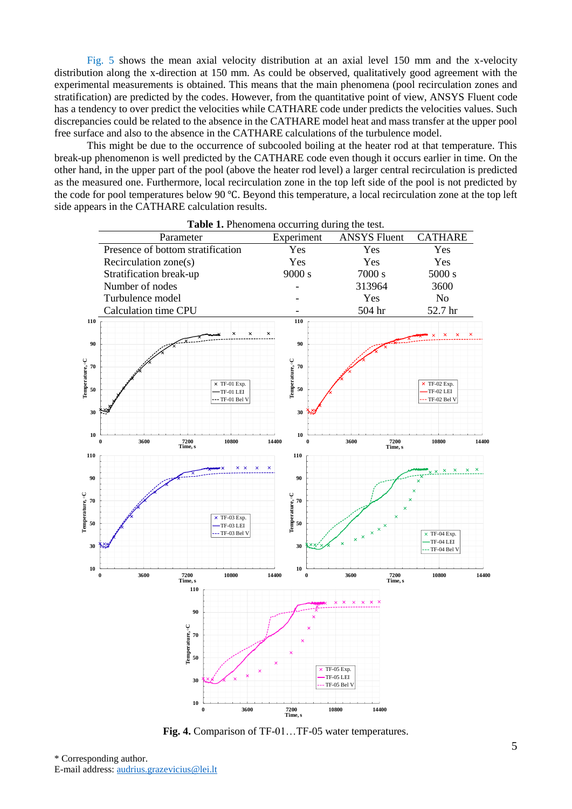[Fig. 5](#page-5-11) shows the mean axial velocity distribution at an axial level 150 mm and the x-velocity distribution along the x-direction at 150 mm. As could be observed, qualitatively good agreement with the experimental measurements is obtained. This means that the main phenomena (pool recirculation zones and stratification) are predicted by the codes. However, from the quantitative point of view, ANSYS Fluent code has a tendency to over predict the velocities while CATHARE code under predicts the velocities values. Such discrepancies could be related to the absence in the CATHARE model heat and mass transfer at the upper pool free surface and also to the absence in the CATHARE calculations of the turbulence model.

This might be due to the occurrence of subcooled boiling at the heater rod at that temperature. This break-up phenomenon is well predicted by the CATHARE code even though it occurs earlier in time. On the other hand, in the upper part of the pool (above the heater rod level) a larger central recirculation is predicted as the measured one. Furthermore, local recirculation zone in the top left side of the pool is not predicted by the code for pool temperatures below 90 ℃. Beyond this temperature, a local recirculation zone at the top left side appears in the CATHARE calculation results.

<span id="page-4-1"></span>

<span id="page-4-0"></span>**Fig. 4.** Comparison of TF-01…TF-05 water temperatures.